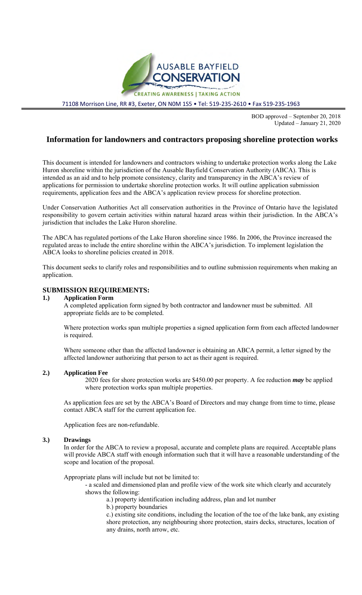

71108 Morrison Line, RR #3, Exeter, ON N0M 1S5 • Tel: 519-235-2610 • Fax 519-235-1963

BOD approved – September 20, 2018 Updated – January 21, 2020

# **Information for landowners and contractors proposing shoreline protection works**

This document is intended for landowners and contractors wishing to undertake protection works along the Lake Huron shoreline within the jurisdiction of the Ausable Bayfield Conservation Authority (ABCA). This is intended as an aid and to help promote consistency, clarity and transparency in the ABCA's review of applications for permission to undertake shoreline protection works. It will outline application submission requirements, application fees and the ABCA's application review process for shoreline protection.

Under Conservation Authorities Act all conservation authorities in the Province of Ontario have the legislated responsibility to govern certain activities within natural hazard areas within their jurisdiction. In the ABCA's jurisdiction that includes the Lake Huron shoreline.

The ABCA has regulated portions of the Lake Huron shoreline since 1986. In 2006, the Province increased the regulated areas to include the entire shoreline within the ABCA's jurisdiction. To implement legislation the ABCA looks to shoreline policies created in 2018.

This document seeks to clarify roles and responsibilities and to outline submission requirements when making an application.

## **SUBMISSION REQUIREMENTS:**

### **1.) Application Form**

A completed application form signed by both contractor and landowner must be submitted. All appropriate fields are to be completed.

Where protection works span multiple properties a signed application form from each affected landowner is required.

Where someone other than the affected landowner is obtaining an ABCA permit, a letter signed by the affected landowner authorizing that person to act as their agent is required.

### **2.) Application Fee**

2020 fees for shore protection works are \$450.00 per property. A fee reduction *may* be applied where protection works span multiple properties.

As application fees are set by the ABCA's Board of Directors and may change from time to time, please contact ABCA staff for the current application fee.

Application fees are non-refundable.

#### **3.) Drawings**

In order for the ABCA to review a proposal, accurate and complete plans are required. Acceptable plans will provide ABCA staff with enough information such that it will have a reasonable understanding of the scope and location of the proposal.

Appropriate plans will include but not be limited to:

- a scaled and dimensioned plan and profile view of the work site which clearly and accurately shows the following:

a.) property identification including address, plan and lot number

b.) property boundaries

c.) existing site conditions, including the location of the toe of the lake bank, any existing shore protection, any neighbouring shore protection, stairs decks, structures, location of any drains, north arrow, etc.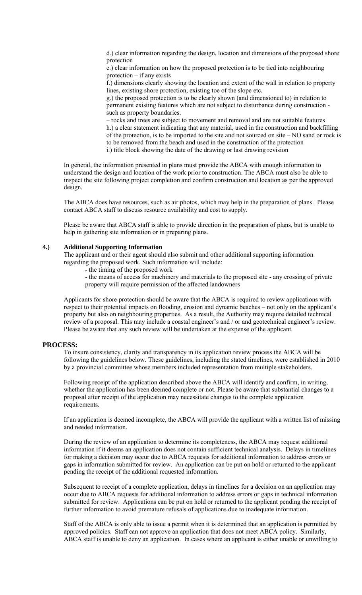d.) clear information regarding the design, location and dimensions of the proposed shore protection

e.) clear information on how the proposed protection is to be tied into neighbouring protection – if any exists

f.) dimensions clearly showing the location and extent of the wall in relation to property lines, existing shore protection, existing toe of the slope etc.

g.) the proposed protection is to be clearly shown (and dimensioned to) in relation to permanent existing features which are not subject to disturbance during construction such as property boundaries.

– rocks and trees are subject to movement and removal and are not suitable features h.) a clear statement indicating that any material, used in the construction and backfilling of the protection, is to be imported to the site and not sourced on site – NO sand or rock is to be removed from the beach and used in the construction of the protection i.) title block showing the date of the drawing or last drawing revision

In general, the information presented in plans must provide the ABCA with enough information to understand the design and location of the work prior to construction. The ABCA must also be able to inspect the site following project completion and confirm construction and location as per the approved design.

The ABCA does have resources, such as air photos, which may help in the preparation of plans. Please contact ABCA staff to discuss resource availability and cost to supply.

Please be aware that ABCA staff is able to provide direction in the preparation of plans, but is unable to help in gathering site information or in preparing plans.

#### **4.) Additional Supporting Information**

The applicant and or their agent should also submit and other additional supporting information regarding the proposed work. Such information will include:

- the timing of the proposed work

- the means of access for machinery and materials to the proposed site - any crossing of private property will require permission of the affected landowners

Applicants for shore protection should be aware that the ABCA is required to review applications with respect to their potential impacts on flooding, erosion and dynamic beaches – not only on the applicant's property but also on neighbouring properties. As a result, the Authority may require detailed technical review of a proposal. This may include a coastal engineer's and / or and geotechnical engineer's review. Please be aware that any such review will be undertaken at the expense of the applicant.

#### **PROCESS:**

To insure consistency, clarity and transparency in its application review process the ABCA will be following the guidelines below. These guidelines, including the stated timelines, were established in 2010 by a provincial committee whose members included representation from multiple stakeholders.

Following receipt of the application described above the ABCA will identify and confirm, in writing, whether the application has been deemed complete or not. Please be aware that substantial changes to a proposal after receipt of the application may necessitate changes to the complete application requirements.

If an application is deemed incomplete, the ABCA will provide the applicant with a written list of missing and needed information.

During the review of an application to determine its completeness, the ABCA may request additional information if it deems an application does not contain sufficient technical analysis. Delays in timelines for making a decision may occur due to ABCA requests for additional information to address errors or gaps in information submitted for review. An application can be put on hold or returned to the applicant pending the receipt of the additional requested information.

Subsequent to receipt of a complete application, delays in timelines for a decision on an application may occur due to ABCA requests for additional information to address errors or gaps in technical information submitted for review. Applications can be put on hold or returned to the applicant pending the receipt of further information to avoid premature refusals of applications due to inadequate information.

Staff of the ABCA is only able to issue a permit when it is determined that an application is permitted by approved policies. Staff can not approve an application that does not meet ABCA policy. Similarly, ABCA staff is unable to deny an application. In cases where an applicant is either unable or unwilling to